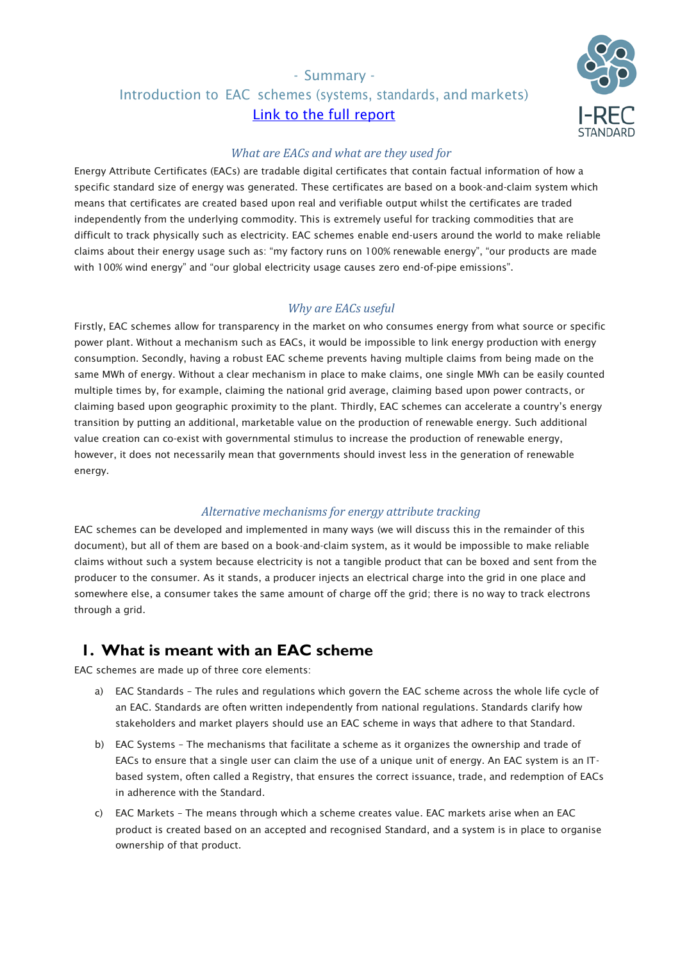# - Summary - Introduction to EAC schemes (systems, standards, and markets) [Link to the full report](https://www.irecstandard.org/wp-content/uploads/2021/05/Understanding-EAC-Schemes_Final_September-18.pdf)



### *What are EACs and what are they used for*

Energy Attribute Certificates (EACs) are tradable digital certificates that contain factual information of how a specific standard size of energy was generated. These certificates are based on a book-and-claim system which means that certificates are created based upon real and verifiable output whilst the certificates are traded independently from the underlying commodity. This is extremely useful for tracking commodities that are difficult to track physically such as electricity. EAC schemes enable end-users around the world to make reliable claims about their energy usage such as: "my factory runs on 100% renewable energy", "our products are made with 100% wind energy" and "our global electricity usage causes zero end-of-pipe emissions".

## *Why are EACs useful*

Firstly, EAC schemes allow for transparency in the market on who consumes energy from what source or specific power plant. Without a mechanism such as EACs, it would be impossible to link energy production with energy consumption. Secondly, having a robust EAC scheme prevents having multiple claims from being made on the same MWh of energy. Without a clear mechanism in place to make claims, one single MWh can be easily counted multiple times by, for example, claiming the national grid average, claiming based upon power contracts, or claiming based upon geographic proximity to the plant. Thirdly, EAC schemes can accelerate a country's energy transition by putting an additional, marketable value on the production of renewable energy. Such additional value creation can co-exist with governmental stimulus to increase the production of renewable energy, however, it does not necessarily mean that governments should invest less in the generation of renewable energy.

## *Alternative mechanisms for energy attribute tracking*

EAC schemes can be developed and implemented in many ways (we will discuss this in the remainder of this document), but all of them are based on a book-and-claim system, as it would be impossible to make reliable claims without such a system because electricity is not a tangible product that can be boxed and sent from the producer to the consumer. As it stands, a producer injects an electrical charge into the grid in one place and somewhere else, a consumer takes the same amount of charge off the grid; there is no way to track electrons through a grid.

# **1. What is meant with an EAC scheme**

EAC schemes are made up of three core elements:

- a) EAC Standards The rules and regulations which govern the EAC scheme across the whole life cycle of an EAC. Standards are often written independently from national regulations. Standards clarify how stakeholders and market players should use an EAC scheme in ways that adhere to that Standard.
- b) EAC Systems The mechanisms that facilitate a scheme as it organizes the ownership and trade of EACs to ensure that a single user can claim the use of a unique unit of energy. An EAC system is an ITbased system, often called a Registry, that ensures the correct issuance, trade, and redemption of EACs in adherence with the Standard.
- c) EAC Markets The means through which a scheme creates value. EAC markets arise when an EAC product is created based on an accepted and recognised Standard, and a system is in place to organise ownership of that product.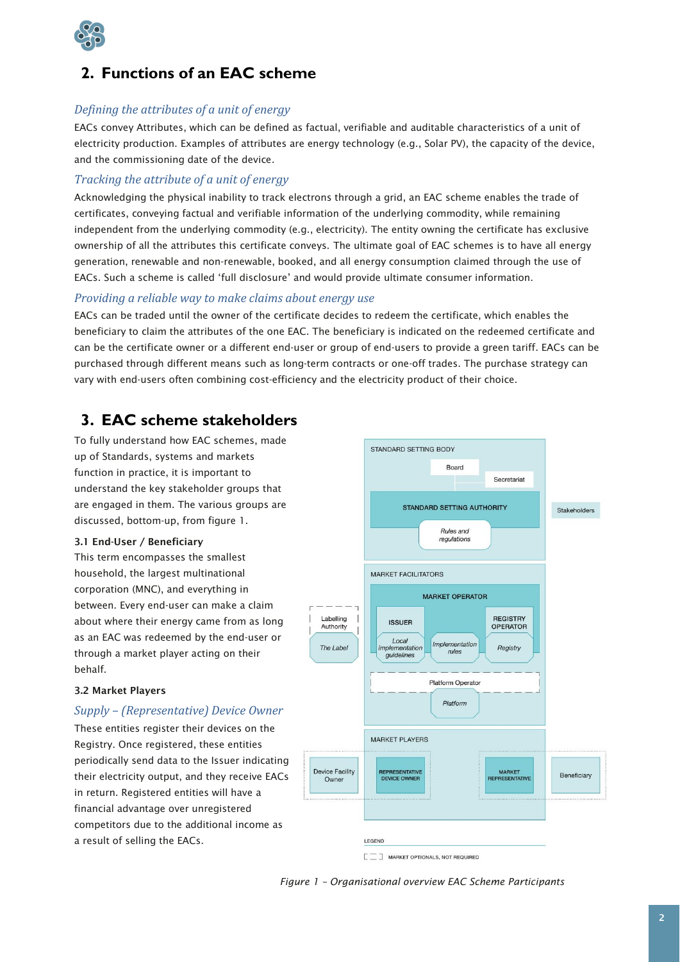

# **2. Functions of an EAC scheme**

### *Defining the attributes of a unit of energy*

EACs convey Attributes, which can be defined as factual, verifiable and auditable characteristics of a unit of electricity production. Examples of attributes are energy technology (e.g., Solar PV), the capacity of the device, and the commissioning date of the device.

#### *Tracking the attribute of a unit of energy*

Acknowledging the physical inability to track electrons through a grid, an EAC scheme enables the trade of certificates, conveying factual and verifiable information of the underlying commodity, while remaining independent from the underlying commodity (e.g., electricity). The entity owning the certificate has exclusive ownership of all the attributes this certificate conveys. The ultimate goal of EAC schemes is to have all energy generation, renewable and non-renewable, booked, and all energy consumption claimed through the use of EACs. Such a scheme is called 'full disclosure' and would provide ultimate consumer information.

#### *Providing a reliable way to make claims about energy use*

EACs can be traded until the owner of the certificate decides to redeem the certificate, which enables the beneficiary to claim the attributes of the one EAC. The beneficiary is indicated on the redeemed certificate and can be the certificate owner or a different end-user or group of end-users to provide a green tariff. EACs can be purchased through different means such as long-term contracts or one-off trades. The purchase strategy can vary with end-users often combining cost-efficiency and the electricity product of their choice.

## **3. EAC scheme stakeholders**

To fully understand how EAC schemes, made up of Standards, systems and markets function in practice, it is important to understand the key stakeholder groups that are engaged in them. The various groups are discussed, bottom-up, from figure 1.

#### 3.1 End-User / Beneficiary

This term encompasses the smallest household, the largest multinational corporation (MNC), and everything in between. Every end-user can make a claim about where their energy came from as long as an EAC was redeemed by the end-user or through a market player acting on their behalf.

#### 3.2 Market Players

#### *Supply – (Representative) Device Owner*

These entities register their devices on the Registry. Once registered, these entities periodically send data to the Issuer indicating their electricity output, and they receive EACs in return. Registered entities will have a financial advantage over unregistered competitors due to the additional income as a result of selling the EACs.



*Figure 1 – Organisational overview EAC Scheme Participants*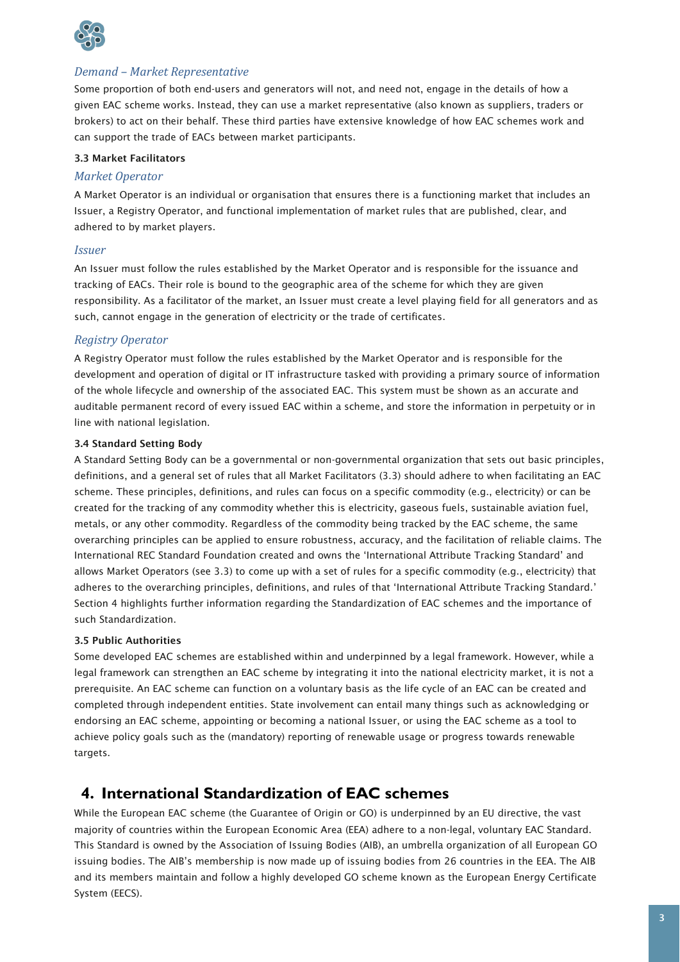

### *Demand – Market Representative*

Some proportion of both end-users and generators will not, and need not, engage in the details of how a given EAC scheme works. Instead, they can use a market representative (also known as suppliers, traders or brokers) to act on their behalf. These third parties have extensive knowledge of how EAC schemes work and can support the trade of EACs between market participants.

#### 3.3 Market Facilitators

#### *Market Operator*

A Market Operator is an individual or organisation that ensures there is a functioning market that includes an Issuer, a Registry Operator, and functional implementation of market rules that are published, clear, and adhered to by market players.

#### *Issuer*

An Issuer must follow the rules established by the Market Operator and is responsible for the issuance and tracking of EACs. Their role is bound to the geographic area of the scheme for which they are given responsibility. As a facilitator of the market, an Issuer must create a level playing field for all generators and as such, cannot engage in the generation of electricity or the trade of certificates.

### *Registry Operator*

A Registry Operator must follow the rules established by the Market Operator and is responsible for the development and operation of digital or IT infrastructure tasked with providing a primary source of information of the whole lifecycle and ownership of the associated EAC. This system must be shown as an accurate and auditable permanent record of every issued EAC within a scheme, and store the information in perpetuity or in line with national legislation.

#### 3.4 Standard Setting Body

A Standard Setting Body can be a governmental or non-governmental organization that sets out basic principles, definitions, and a general set of rules that all Market Facilitators (3.3) should adhere to when facilitating an EAC scheme. These principles, definitions, and rules can focus on a specific commodity (e.g., electricity) or can be created for the tracking of any commodity whether this is electricity, gaseous fuels, sustainable aviation fuel, metals, or any other commodity. Regardless of the commodity being tracked by the EAC scheme, the same overarching principles can be applied to ensure robustness, accuracy, and the facilitation of reliable claims. The International REC Standard Foundation created and owns the 'International Attribute Tracking Standard' and allows Market Operators (see 3.3) to come up with a set of rules for a specific commodity (e.g., electricity) that adheres to the overarching principles, definitions, and rules of that 'International Attribute Tracking Standard.' Section 4 highlights further information regarding the Standardization of EAC schemes and the importance of such Standardization.

#### 3.5 Public Authorities

Some developed EAC schemes are established within and underpinned by a legal framework. However, while a legal framework can strengthen an EAC scheme by integrating it into the national electricity market, it is not a prerequisite. An EAC scheme can function on a voluntary basis as the life cycle of an EAC can be created and completed through independent entities. State involvement can entail many things such as acknowledging or endorsing an EAC scheme, appointing or becoming a national Issuer, or using the EAC scheme as a tool to achieve policy goals such as the (mandatory) reporting of renewable usage or progress towards renewable targets.

## **4. International Standardization of EAC schemes**

While the European EAC scheme (the Guarantee of Origin or GO) is underpinned by an EU directive, the vast majority of countries within the European Economic Area (EEA) adhere to a non-legal, voluntary EAC Standard. This Standard is owned by the Association of Issuing Bodies (AIB), an umbrella organization of all European GO issuing bodies. The AIB's membership is now made up of issuing bodies from 26 countries in the EEA. The AIB and its members maintain and follow a highly developed GO scheme known as the European Energy Certificate System (EECS).